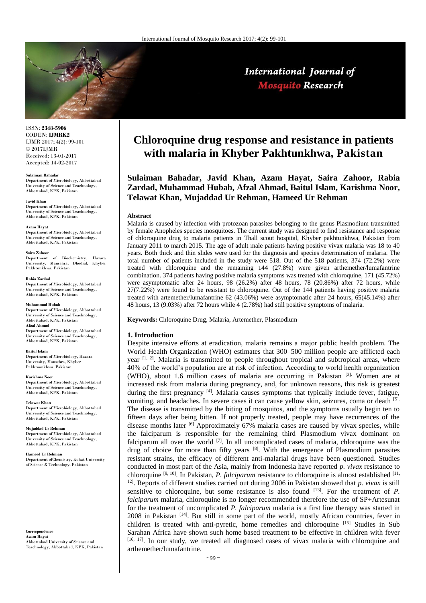

International Journal of **Mosquito Research** 

ISSN: **2348-5906** CODEN: **IJMRK2** IJMR 2017; 4(2): 99-101 © 2017IJMR Received: 13-01-2017 Accepted: 14-02-2017

**Sulaiman Bahadar**

Department of Microbiology, Abbottabad University of Science and Teachnology, Abbottabad, KPK, Pakistan

**Javid Khan**

Department of Microbiology, Abbottabad University of Science and Teachnology, Abbottabad, KPK, Pakistan

#### **Azam Hayat**

Department of Microbiology, Abbottabad University of Science and Teachnology, Abbottabad, KPK, Pakistan

#### **Saira Zahoor**

Department of Biochemistry, Hazara University, Mansehra, Dhodial, Khyber Pakhtunkhwa, Pakistan

**Rabia Zardad**

Department of Microbiology, Abbottabad University of Science and Teachnology, Abbottabad, KPK, Pakistan

#### **Muhammad Hubab**

Department of Microbiology, Abbottabad University of Science and Teachnology, Abbottabad, KPK, Pakistan **Afzal Ahmad** Department of Microbiology, Abbottabad University of Science and Teachnology,

Abbottabad, KPK, Pakistan

### **Baitul Islam**

Department of Microbiology, Hazara wiversity, Mansehra, Khyber Pakhtoonkhwa, Pakistan

**Karishma Noor**

Department of Microbiology, Abbottabad University of Science and Teachnology, Abbottabad, KPK, Pakistan

**Telawat Khan** Department of Microbiology, Abbottabad University of Science and Teachnology, Abbottabad, KPK, Pakistan

**Mujaddad Ur Rehman** Department of Microbiology, Abbottabad University of Science and Teachnology, Abbottabad, KPK, Pakistan

**Hameed Ur Rehman** Department ofChemistry, Kohat University of Science & Technology, Pakistan

**Correspondence Azam Hayat** Abbottabad University of Science and Teachnology, Abbottabad, KPK, Pakistan

# **Chloroquine drug response and resistance in patients with malaria in Khyber Pakhtunkhwa, Pakistan**

**Sulaiman Bahadar, Javid Khan, Azam Hayat, Saira Zahoor, Rabia Zardad, Muhammad Hubab, Afzal Ahmad, Baitul Islam, Karishma Noor, Telawat Khan, Mujaddad Ur Rehman, Hameed Ur Rehman**

## **Abstract**

Malaria is caused by infection with protozoan parasites belonging to the genus Plasmodium transmitted by female Anopheles species mosquitoes. The current study was designed to find resistance and response of chloroquine drug to malaria patients in Thall scout hospital, Khyber pakhtunkhwa, Pakistan from January 2011 to march 2015. The age of adult male patients having positive vivax malaria was 18 to 40 years. Both thick and thin slides were used for the diagnosis and species determination of malaria. The total number of patients included in the study were 518. Out of the 518 patients, 374 (72.2%) were treated with chloroquine and the remaining 144 (27.8%) were given arthemether/lumafantrine combination. 374 patients having positive malaria symptoms was treated with chloroquine, 171 (45.72%) were asymptomatic after 24 hours, 98 (26.2%) after 48 hours, 78 (20.86%) after 72 hours, while 27(7.22%) were found to be resistant to chloroquine. Out of the 144 patients having positive malaria treated with artemether/lumafantrine 62 (43.06%) were asymptomatic after 24 hours, 65(45.14%) after 48 hours, 13 (9.03%) after 72 hours while 4 (2.78%) had still positive symptoms of malaria.

**Keywords:** Chloroquine Drug, Malaria, Artemether, Plasmodium

## **1. Introduction**

Despite intensive efforts at eradication, malaria remains a major public health problem. The World Health Organization (WHO) estimates that 300–500 million people are afflicted each year  $[1, 2]$ . Malaria is transmitted to people throughout tropical and subtropical areas, where 40% of the world's population are at risk of infection. According to world health organization (WHO), about 1.6 million cases of malaria are occurring in Pakistan [3]. Women are at increased risk from malaria during pregnancy, and, for unknown reasons, this risk is greatest during the first pregnancy  $[4]$ . Malaria causes symptoms that typically include fever, fatigue, vomiting, and headaches. In severe cases it can cause yellow skin, seizures, coma or death [5]. The disease is transmitted by the biting of mosquitos, and the symptoms usually begin ten to fifteen days after being bitten. If not properly treated, people may have recurrences of the disease months later  $[6]$  Approximately 67% malaria cases are caused by vivax species, while the falciparum is responsible for the remaining third Plasmodium vivax dominant on falciparum all over the world  $^{[7]}$ . In all uncomplicated cases of malaria, chloroquine was the drug of choice for more than fifty years [8]. With the emergence of Plasmodium parasites resistant strains, the efficacy of different anti-malarial drugs have been questioned. Studies conducted in most part of the Asia, mainly from Indonesia have reported *p. vivax* resistance to chloroquine <sup>[9, 10]</sup>. In Pakistan, *P. falciparum* resistance to chloroquine is almost established [11, <sup>12]</sup>. Reports of different studies carried out during 2006 in Pakistan showed that *p. vivax* is still sensitive to chloroquine, but some resistance is also found  $[13]$ . For the treatment of *P*. *falciparum* malaria, chloroquine is no longer recommended therefore the use of SP+Artesunat for the treatment of uncomplicated *P. falciparum* malaria is a first line therapy was started in 2008 in Pakistan [14] . But still in some part of the world, mostly African countries, fever in children is treated with anti-pyretic, home remedies and chloroquine [15] Studies in Sub Sarahan Africa have shown such home based treatment to be effective in children with fever  $[16, 17]$ . In our study, we treated all diagnosed cases of vivax malaria with chloroquine and arthemether/lumafantrine.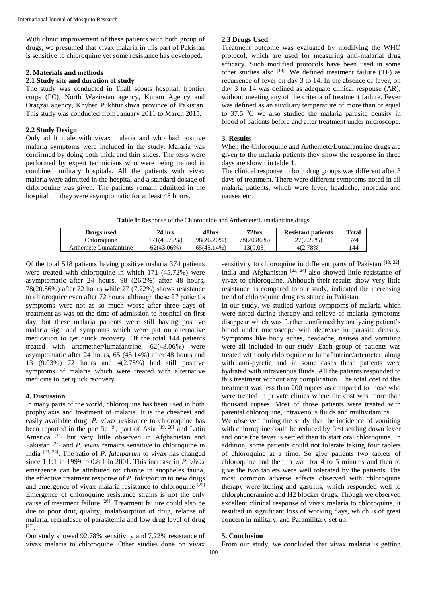With clinic improvement of these patients with both group of drugs, we presumed that vivax malaria in this part of Pakistan is sensitive to chloroquine yet some resistance has developed.

# **2. Materials and methods**

# **2.1 Study site and duration of study**

The study was conducted in Thall scouts hospital, frontier corps (FC), North Wazirstan agency, Kuram Agency and Oragzai agency, Khyber Pukhtunkhwa province of Pakistan. This study was conducted from January 2011 to March 2015.

# **2.2 Study Design**

Only adult male with vivax malaria and who had positive malaria symptoms were included in the study. Malaria was confirmed by doing both thick and thin slides. The tests were performed by expert technicians who were being trained in combined military hospitals. All the patients with vivax malaria were admitted in the hospital and a standard dosage of chloroquine was given. The patients remain admitted in the hospital till they were asymptomatic for at least 48 hours.

# **2.3 Drugs Used**

Treatment outcome was evaluated by modifying the WHO protocol, which are used for measuring anti-malarial drug efficacy. Such modified protocols have been used in some other studies also [18]. We defined treatment failure (TF) as recurrence of fever on day 3 to 14. In the absence of fever, on day 3 to 14 was defined as adequate clinical response (AR), without meeting any of the criteria of treatment failure. Fever was defined as an auxiliary temperature of more than or equal to 37.5  $\rm{^0C}$  we also studied the malaria parasite density in blood of patients before and after treatment under microscope.

# **3. Results**

When the Chloroquine and Arthemete/Lumafantrine drugs are given to the malaria patients they show the response in three days are shown in table 1.

The clinical response to both drug groups was different after 3 days of treatment. There were different symptoms noted in all malaria patients, which were fever, headache, anorexia and nausea etc.

| Table 1: Response of the Chloroquine and Arthemete/Lumafantrine drugs |  |  |  |  |  |  |  |  |  |  |  |
|-----------------------------------------------------------------------|--|--|--|--|--|--|--|--|--|--|--|
|-----------------------------------------------------------------------|--|--|--|--|--|--|--|--|--|--|--|

| Drugs used             | 24 hrs     | 48hrs      | 72hrs      | <b>Resistant patients</b> | <b>Total</b> |
|------------------------|------------|------------|------------|---------------------------|--------------|
| <b>Thloroquine</b>     | 71(45.72%) | 98(26.20%) | 78(20.86%) | 27(7.22%)                 | 374          |
| Arthemete Lumafantrine | 62(43.06%) | 65(45.14%) | 13(9.03)   | 4(2.78%)                  | 144          |

Of the total 518 patients having positive malaria 374 patients were treated with chloroquine in which 171 (45.72%) were asymptomatic after 24 hours, 98 (26.2%) after 48 hours, 78(20.86%) after 72 hours while 27 (7.22%) shows resistance to chloroquice even after 72 hours, although these 27 patient's symptoms were not as so much worse after three days of treatment as was on the time of admission to hospital on first day, but these malaria patients were still having positive malaria sign and symptoms which were put on alternative medication to get quick recovery. Of the total 144 patients treated with artemether/lumafantrine, 62(43.06%) were asymptomatic after 24 hours, 65 (45.14%) after 48 hours and 13 (9.03%) 72 hours and 4(2.78%) had still positive symptoms of malaria which were treated with alternative medicine to get quick recovery.

# **4. Discussion**

In many parts of the world, chloroquine has been used in both prophylaxis and treatment of malaria. It is the cheapest and easily available drug. *P. vivax* resistance to chloroquine has been reported in the pacific [9], part of Asia [19, 20] and Latin America<sup>[21]</sup> but very little observed in Afghanistan and Pakistan <sup>[22]</sup> and *P. vivax* remains sensitive to chloroquine in India [23, 24]. The ratio of *P. falciparum* to vivax has changed since 1.1:1 in 1999 to 0.8:1 in 2001. This increase in *P. vivax* emergence can be attributed to: change in anopheles fauna, the effective treatment response of *P. falciparum* to new drugs and emergence of vivax malaria resistance to chloroquine [25] Emergence of chloroquine resistance strains is not the only cause of treatment failure [26]. Treatment failure could also be due to poor drug quality, malabsorption of drug, relapse of malaria, recrudesce of parasitemia and low drug level of drug [27] .

Our study showed 92.78% sensitivity and 7.22% resistance of vivax malaria to chloroquine. Other studies done on vivax

sensitivity to chloroquine in different parts of Pakistan  $[13, 22]$ , India and Afghanistan  $[23, 24]$  also showed little resistance of vivax to chloroquine. Although their results show very little resistance as compared to our study, indicated the increasing trend of chloroquine drug resistance in Pakistan.

In our study, we studied various symptoms of malaria which were noted during therapy and relieve of malaria symptoms disappear which was further confirmed by analyzing patient's blood under microscope with decrease in parasite density. Symptoms like body aches, headache, nausea and vomiting were all included in our study. Each group of patients was treated with only chloroquine or lumafantrine/artemeter, along with anti-pyretic and in some cases these patients were hydrated with intravenous fluids. All the patients responded to this treatment without any complication. The total cost of this treatment was less than 200 rupees as compared to those who were treated in private clinics where the cost was more than thousand rupees. Most of those patients were treated with parental chloroquine, intravenous fluids and multivitamins.

We observed during the study that the incidence of vomiting with chloroquine could be reduced by first settling down fever and once the fever is settled then to start oral chloroquine. In addition, some patients could not tolerate taking four tablets of chloroquine at a time. So give patients two tablets of chloroquine and then to wait for 4 to 5 minutes and then to give the two tablets were well tolerated by the patients. The most common adverse effects observed with chloroquine therapy were itching and gastritis, which responded well to chlorpheneramine and H2 blocker drugs. Though we observed excellent clinical response of vivax malaria to chloroquine, it resulted in significant loss of working days, which is of great concern in military, and Paramilitary set up.

# **5. Conclusion**

From our study, we concluded that vivax malaria is getting